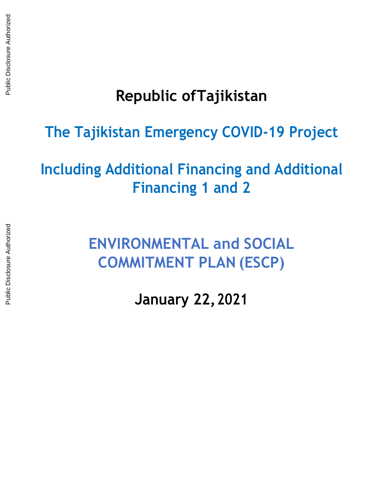# **Republic ofTajikistan**

### **The Tajikistan Emergency COVID-19 Project**

## **Including Additional Financing and Additional Financing 1 and 2**

**ENVIRONMENTAL and SOCIAL COMMITMENT PLAN (ESCP)**

**January 22, 2021**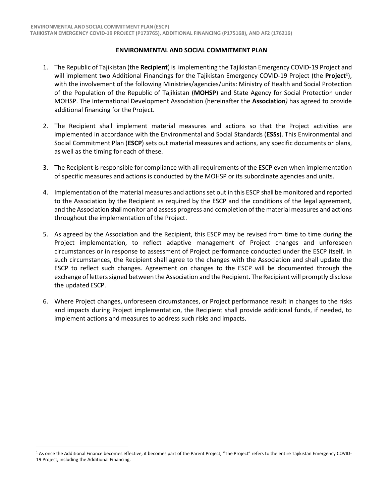#### **ENVIRONMENTAL AND SOCIAL COMMITMENT PLAN**

- 1. The Republic of Tajikistan (the **Recipient**) is implementing the Tajikistan Emergency COVID-19 Project and will implement two Additional Financings for the Tajikistan Emergency COVID-19 Project (the **Project<sup>1</sup>** ), with the involvement of the following Ministries/agencies/units: Ministry of Health and Social Protection of the Population of the Republic of Tajikistan (**MOHSP**) and State Agency for Social Protection under MOHSP. The International Development Association (hereinafter the **Association***)* has agreed to provide additional financing for the Project.
- 2. The Recipient shall implement material measures and actions so that the Project activities are implemented in accordance with the Environmental and Social Standards (**ESSs**). This Environmental and Social Commitment Plan (**ESCP**) sets out material measures and actions, any specific documents or plans, as well as the timing for each of these.
- 3. The Recipient is responsible for compliance with all requirements of the ESCP even when implementation of specific measures and actions is conducted by the MOHSP or its subordinate agencies and units.
- 4. Implementation of the material measures and actionsset out in this ESCP shall be monitored and reported to the Association by the Recipient as required by the ESCP and the conditions of the legal agreement, and the Association shall monitor and assess progress and completion of the material measures and actions throughout the implementation of the Project.
- 5. As agreed by the Association and the Recipient, this ESCP may be revised from time to time during the Project implementation, to reflect adaptive management of Project changes and unforeseen circumstances or in response to assessment of Project performance conducted under the ESCP itself. In such circumstances, the Recipient shall agree to the changes with the Association and shall update the ESCP to reflect such changes. Agreement on changes to the ESCP will be documented through the exchange of letters signed between the Association and the Recipient. The Recipient will promptly disclose the updated ESCP.
- 6. Where Project changes, unforeseen circumstances, or Project performance result in changes to the risks and impacts during Project implementation, the Recipient shall provide additional funds, if needed, to implement actions and measures to address such risks and impacts.

<sup>&</sup>lt;sup>1</sup> As once the Additional Finance becomes effective, it becomes part of the Parent Project, "The Project" refers to the entire Tajikistan Emergency COVID-19 Project, including the Additional Financing.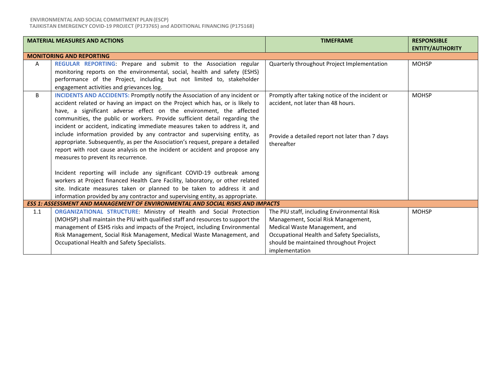#### **ENVIRONMENTAL AND SOCIAL COMMITMENT PLAN(ESCP) TAJIKISTAN EMERGENCY COVID-19 PROJECT (P173765) and ADDITIONAL FINANCING (P175168)**

|     | <b>MATERIAL MEASURES AND ACTIONS</b>                                                                                                                                                                                                                                                                                                                                                                                                                                                                                                                                                                                                                                                                                                                                                                                                                                                                                                                                                                                      | <b>TIMEFRAME</b>                                                                                                                                                                                                                | <b>RESPONSIBLE</b><br><b>ENTITY/AUTHORITY</b> |  |
|-----|---------------------------------------------------------------------------------------------------------------------------------------------------------------------------------------------------------------------------------------------------------------------------------------------------------------------------------------------------------------------------------------------------------------------------------------------------------------------------------------------------------------------------------------------------------------------------------------------------------------------------------------------------------------------------------------------------------------------------------------------------------------------------------------------------------------------------------------------------------------------------------------------------------------------------------------------------------------------------------------------------------------------------|---------------------------------------------------------------------------------------------------------------------------------------------------------------------------------------------------------------------------------|-----------------------------------------------|--|
|     | <b>MONITORING AND REPORTING</b>                                                                                                                                                                                                                                                                                                                                                                                                                                                                                                                                                                                                                                                                                                                                                                                                                                                                                                                                                                                           |                                                                                                                                                                                                                                 |                                               |  |
| A   | REGULAR REPORTING: Prepare and submit to the Association regular<br>monitoring reports on the environmental, social, health and safety (ESHS)<br>performance of the Project, including but not limited to, stakeholder<br>engagement activities and grievances log.                                                                                                                                                                                                                                                                                                                                                                                                                                                                                                                                                                                                                                                                                                                                                       | Quarterly throughout Project Implementation                                                                                                                                                                                     | <b>MOHSP</b>                                  |  |
| B   | <b>INCIDENTS AND ACCIDENTS: Promptly notify the Association of any incident or</b><br>accident related or having an impact on the Project which has, or is likely to<br>have, a significant adverse effect on the environment, the affected<br>communities, the public or workers. Provide sufficient detail regarding the<br>incident or accident, indicating immediate measures taken to address it, and<br>include information provided by any contractor and supervising entity, as<br>appropriate. Subsequently, as per the Association's request, prepare a detailed<br>report with root cause analysis on the incident or accident and propose any<br>measures to prevent its recurrence.<br>Incident reporting will include any significant COVID-19 outbreak among<br>workers at Project financed Health Care Facility, laboratory, or other related<br>site. Indicate measures taken or planned to be taken to address it and<br>information provided by any contractor and supervising entity, as appropriate. | Promptly after taking notice of the incident or<br>accident, not later than 48 hours.<br>Provide a detailed report not later than 7 days<br>thereafter                                                                          | <b>MOHSP</b>                                  |  |
|     | ESS 1: ASSESSMENT AND MANAGEMENT OF ENVIRONMENTAL AND SOCIAL RISKS AND IMPACTS                                                                                                                                                                                                                                                                                                                                                                                                                                                                                                                                                                                                                                                                                                                                                                                                                                                                                                                                            |                                                                                                                                                                                                                                 |                                               |  |
| 1.1 | ORGANIZATIONAL STRUCTURE: Ministry of Health and Social Protection<br>(MOHSP) shall maintain the PIU with qualified staff and resources to support the<br>management of ESHS risks and impacts of the Project, including Environmental<br>Risk Management, Social Risk Management, Medical Waste Management, and<br>Occupational Health and Safety Specialists.                                                                                                                                                                                                                                                                                                                                                                                                                                                                                                                                                                                                                                                           | The PIU staff, including Environmental Risk<br>Management, Social Risk Management,<br>Medical Waste Management, and<br>Occupational Health and Safety Specialists,<br>should be maintained throughout Project<br>implementation | <b>MOHSP</b>                                  |  |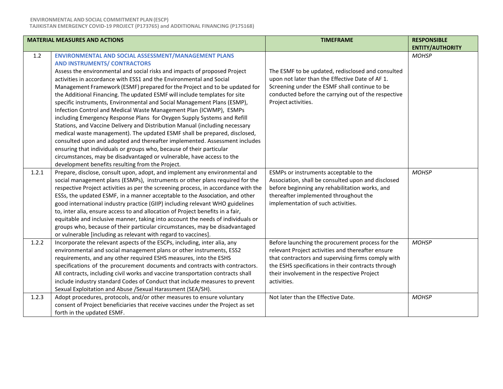| <b>MATERIAL MEASURES AND ACTIONS</b> |                                                                                    | <b>TIMEFRAME</b>                                    | <b>RESPONSIBLE</b>      |
|--------------------------------------|------------------------------------------------------------------------------------|-----------------------------------------------------|-------------------------|
|                                      |                                                                                    |                                                     | <b>ENTITY/AUTHORITY</b> |
| 1.2                                  | ENVIRONMENTAL AND SOCIAL ASSESSMENT/MANAGEMENT PLANS                               |                                                     | <b>MOHSP</b>            |
|                                      | <b>AND INSTRUMENTS/ CONTRACTORS</b>                                                |                                                     |                         |
|                                      | Assess the environmental and social risks and impacts of proposed Project          | The ESMF to be updated, redisclosed and consulted   |                         |
|                                      | activities in accordance with ESS1 and the Environmental and Social                | upon not later than the Effective Date of AF 1.     |                         |
|                                      | Management Framework (ESMF) prepared for the Project and to be updated for         | Screening under the ESMF shall continue to be       |                         |
|                                      | the Additional Financing. The updated ESMF will include templates for site         | conducted before the carrying out of the respective |                         |
|                                      | specific instruments, Environmental and Social Management Plans (ESMP),            | Project activities.                                 |                         |
|                                      | Infection Control and Medical Waste Management Plan (ICWMP), ESMPs                 |                                                     |                         |
|                                      | including Emergency Response Plans for Oxygen Supply Systems and Refill            |                                                     |                         |
|                                      | Stations, and Vaccine Delivery and Distribution Manual (including necessary        |                                                     |                         |
|                                      | medical waste management). The updated ESMF shall be prepared, disclosed,          |                                                     |                         |
|                                      | consulted upon and adopted and thereafter implemented. Assessment includes         |                                                     |                         |
|                                      | ensuring that individuals or groups who, because of their particular               |                                                     |                         |
|                                      | circumstances, may be disadvantaged or vulnerable, have access to the              |                                                     |                         |
|                                      | development benefits resulting from the Project.                                   |                                                     |                         |
| 1.2.1                                | Prepare, disclose, consult upon, adopt, and implement any environmental and        | ESMPs or instruments acceptable to the              | <b>MOHSP</b>            |
|                                      | social management plans (ESMPs), instruments or other plans required for the       | Association, shall be consulted upon and disclosed  |                         |
|                                      | respective Project activities as per the screening process, in accordance with the | before beginning any rehabilitation works, and      |                         |
|                                      | ESSs, the updated ESMF, in a manner acceptable to the Association, and other       | thereafter implemented throughout the               |                         |
|                                      | good international industry practice (GIIP) including relevant WHO guidelines      | implementation of such activities.                  |                         |
|                                      | to, inter alia, ensure access to and allocation of Project benefits in a fair,     |                                                     |                         |
|                                      | equitable and inclusive manner, taking into account the needs of individuals or    |                                                     |                         |
|                                      | groups who, because of their particular circumstances, may be disadvantaged        |                                                     |                         |
|                                      | or vulnerable [including as relevant with regard to vaccines].                     |                                                     |                         |
| 1.2.2                                | Incorporate the relevant aspects of the ESCPs, including, inter alia, any          | Before launching the procurement process for the    | <b>MOHSP</b>            |
|                                      | environmental and social management plans or other instruments, ESS2               | relevant Project activities and thereafter ensure   |                         |
|                                      | requirements, and any other required ESHS measures, into the ESHS                  | that contractors and supervising firms comply with  |                         |
|                                      | specifications of the procurement documents and contracts with contractors.        | the ESHS specifications in their contracts through  |                         |
|                                      | All contracts, including civil works and vaccine transportation contracts shall    | their involvement in the respective Project         |                         |
|                                      | include industry standard Codes of Conduct that include measures to prevent        | activities.                                         |                         |
|                                      | Sexual Exploitation and Abuse /Sexual Harassment (SEA/SH).                         |                                                     |                         |
| 1.2.3                                | Adopt procedures, protocols, and/or other measures to ensure voluntary             | Not later than the Effective Date.                  | <b>MOHSP</b>            |
|                                      | consent of Project beneficiaries that receive vaccines under the Project as set    |                                                     |                         |
|                                      | forth in the updated ESMF.                                                         |                                                     |                         |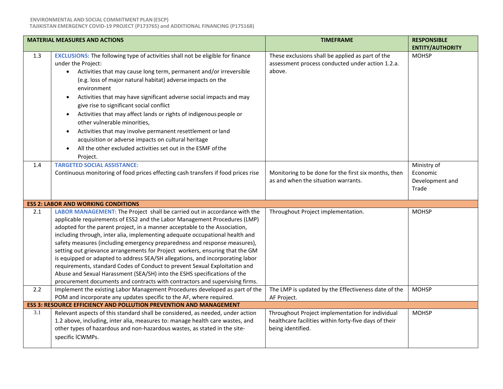**TAJIKISTAN EMERGENCY COVID-19 PROJECT (P173765) and ADDITIONAL FINANCING (P175168)**

|     | <b>MATERIAL MEASURES AND ACTIONS</b>                                                                                                                                                                                                                                                                                                                                                                                                                                                                                                                                                                                                                                                                                                                                                                        | <b>TIMEFRAME</b>                                                                                                               | <b>RESPONSIBLE</b><br><b>ENTITY/AUTHORITY</b>       |
|-----|-------------------------------------------------------------------------------------------------------------------------------------------------------------------------------------------------------------------------------------------------------------------------------------------------------------------------------------------------------------------------------------------------------------------------------------------------------------------------------------------------------------------------------------------------------------------------------------------------------------------------------------------------------------------------------------------------------------------------------------------------------------------------------------------------------------|--------------------------------------------------------------------------------------------------------------------------------|-----------------------------------------------------|
| 1.3 | <b>EXCLUSIONS:</b> The following type of activities shall not be eligible for finance<br>under the Project:<br>Activities that may cause long term, permanent and/or irreversible<br>$\bullet$<br>(e.g. loss of major natural habitat) adverse impacts on the<br>environment<br>Activities that may have significant adverse social impacts and may<br>give rise to significant social conflict<br>Activities that may affect lands or rights of indigenous people or<br>other vulnerable minorities,<br>Activities that may involve permanent resettlement or land<br>$\bullet$<br>acquisition or adverse impacts on cultural heritage<br>All the other excluded activities set out in the ESMF of the<br>Project.                                                                                         | These exclusions shall be applied as part of the<br>assessment process conducted under action 1.2.a.<br>above.                 | <b>MOHSP</b>                                        |
| 1.4 | <b>TARGETED SOCIAL ASSISTANCE:</b><br>Continuous monitoring of food prices effecting cash transfers if food prices rise                                                                                                                                                                                                                                                                                                                                                                                                                                                                                                                                                                                                                                                                                     | Monitoring to be done for the first six months, then<br>as and when the situation warrants.                                    | Ministry of<br>Economic<br>Development and<br>Trade |
|     | <b>ESS 2: LABOR AND WORKING CONDITIONS</b>                                                                                                                                                                                                                                                                                                                                                                                                                                                                                                                                                                                                                                                                                                                                                                  |                                                                                                                                |                                                     |
| 2.1 | LABOR MANAGEMENT: The Project shall be carried out in accordance with the<br>applicable requirements of ESS2 and the Labor Management Procedures (LMP)<br>adopted for the parent project, in a manner acceptable to the Association,<br>including through, inter alia, implementing adequate occupational health and<br>safety measures (including emergency preparedness and response measures),<br>setting out grievance arrangements for Project workers, ensuring that the GM<br>is equipped or adapted to address SEA/SH allegations, and incorporating labor<br>requirements, standard Codes of Conduct to prevent Sexual Exploitation and<br>Abuse and Sexual Harassment (SEA/SH) into the ESHS specifications of the<br>procurement documents and contracts with contractors and supervising firms. | Throughout Project implementation.                                                                                             | <b>MOHSP</b>                                        |
| 2.2 | Implement the existing Labor Management Procedures developed as part of the<br>POM and incorporate any updates specific to the AF, where required.                                                                                                                                                                                                                                                                                                                                                                                                                                                                                                                                                                                                                                                          | The LMP is updated by the Effectiveness date of the<br>AF Project.                                                             | <b>MOHSP</b>                                        |
|     | ESS 3: RESOURCE EFFICIENCY AND POLLUTION PREVENTION AND MANAGEMENT                                                                                                                                                                                                                                                                                                                                                                                                                                                                                                                                                                                                                                                                                                                                          |                                                                                                                                |                                                     |
| 3.1 | Relevant aspects of this standard shall be considered, as needed, under action<br>1.2 above, including, inter alia, measures to: manage health care wastes, and<br>other types of hazardous and non-hazardous wastes, as stated in the site-<br>specific ICWMPs.                                                                                                                                                                                                                                                                                                                                                                                                                                                                                                                                            | Throughout Project implementation for individual<br>healthcare facilities within forty-five days of their<br>being identified. | <b>MOHSP</b>                                        |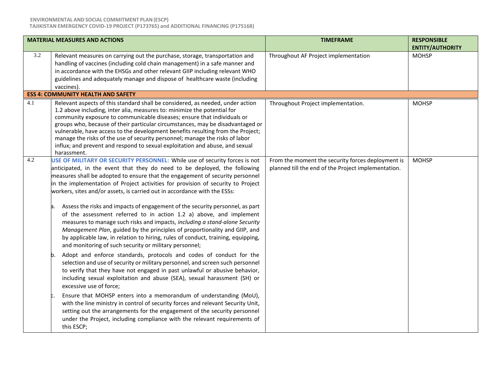|     | <b>MATERIAL MEASURES AND ACTIONS</b>                                                                                                                                                                                                                                                                                                                                                                                                                                                                                                                                                                                                                                                                                                                                                                                                                                                                                                                                                                                                                                                                                                                                                                                                                                                                                                                                                                                                                                                                                                                                     | <b>TIMEFRAME</b>                                                                                         | <b>RESPONSIBLE</b><br><b>ENTITY/AUTHORITY</b> |
|-----|--------------------------------------------------------------------------------------------------------------------------------------------------------------------------------------------------------------------------------------------------------------------------------------------------------------------------------------------------------------------------------------------------------------------------------------------------------------------------------------------------------------------------------------------------------------------------------------------------------------------------------------------------------------------------------------------------------------------------------------------------------------------------------------------------------------------------------------------------------------------------------------------------------------------------------------------------------------------------------------------------------------------------------------------------------------------------------------------------------------------------------------------------------------------------------------------------------------------------------------------------------------------------------------------------------------------------------------------------------------------------------------------------------------------------------------------------------------------------------------------------------------------------------------------------------------------------|----------------------------------------------------------------------------------------------------------|-----------------------------------------------|
| 3.2 | Relevant measures on carrying out the purchase, storage, transportation and<br>handling of vaccines (including cold chain management) in a safe manner and<br>in accordance with the EHSGs and other relevant GIIP including relevant WHO<br>guidelines and adequately manage and dispose of healthcare waste (including<br>vaccines).                                                                                                                                                                                                                                                                                                                                                                                                                                                                                                                                                                                                                                                                                                                                                                                                                                                                                                                                                                                                                                                                                                                                                                                                                                   | Throughout AF Project implementation                                                                     | <b>MOHSP</b>                                  |
|     | <b>ESS 4: COMMUNITY HEALTH AND SAFETY</b>                                                                                                                                                                                                                                                                                                                                                                                                                                                                                                                                                                                                                                                                                                                                                                                                                                                                                                                                                                                                                                                                                                                                                                                                                                                                                                                                                                                                                                                                                                                                |                                                                                                          |                                               |
| 4.1 | Relevant aspects of this standard shall be considered, as needed, under action<br>1.2 above including, inter alia, measures to: minimize the potential for<br>community exposure to communicable diseases; ensure that individuals or<br>groups who, because of their particular circumstances, may be disadvantaged or<br>vulnerable, have access to the development benefits resulting from the Project;<br>manage the risks of the use of security personnel; manage the risks of labor<br>influx; and prevent and respond to sexual exploitation and abuse, and sexual<br>harassment.                                                                                                                                                                                                                                                                                                                                                                                                                                                                                                                                                                                                                                                                                                                                                                                                                                                                                                                                                                                | Throughout Project implementation.                                                                       | <b>MOHSP</b>                                  |
| 4.2 | USE OF MILITARY OR SECURITY PERSONNEL: While use of security forces is not<br>anticipated, in the event that they do need to be deployed, the following<br>measures shall be adopted to ensure that the engagement of security personnel<br>in the implementation of Project activities for provision of security to Project<br>workers, sites and/or assets, is carried out in accordance with the ESSs:<br>Assess the risks and impacts of engagement of the security personnel, as part<br>в.<br>of the assessment referred to in action 1.2 a) above, and implement<br>measures to manage such risks and impacts, including a stand-alone Security<br>Management Plan, guided by the principles of proportionality and GIIP, and<br>by applicable law, in relation to hiring, rules of conduct, training, equipping,<br>and monitoring of such security or military personnel;<br>Adopt and enforce standards, protocols and codes of conduct for the<br>b.<br>selection and use of security or military personnel, and screen such personnel<br>to verify that they have not engaged in past unlawful or abusive behavior,<br>including sexual exploitation and abuse (SEA), sexual harassment (SH) or<br>excessive use of force;<br>Ensure that MOHSP enters into a memorandum of understanding (MoU),<br>with the line ministry in control of security forces and relevant Security Unit,<br>setting out the arrangements for the engagement of the security personnel<br>under the Project, including compliance with the relevant requirements of<br>this ESCP; | From the moment the security forces deployment is<br>planned till the end of the Project implementation. | <b>MOHSP</b>                                  |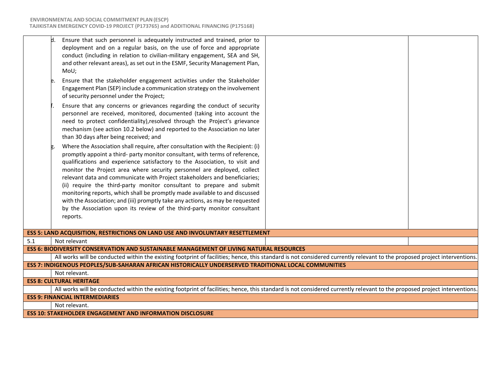| d.                                                                                                                    | Ensure that such personnel is adequately instructed and trained, prior to<br>deployment and on a regular basis, on the use of force and appropriate<br>conduct (including in relation to civilian-military engagement, SEA and SH,<br>and other relevant areas), as set out in the ESMF, Security Management Plan,<br>MoU;                                                                                                                                                                                                                                                                                                                                                                                                                |  |  |  |
|-----------------------------------------------------------------------------------------------------------------------|-------------------------------------------------------------------------------------------------------------------------------------------------------------------------------------------------------------------------------------------------------------------------------------------------------------------------------------------------------------------------------------------------------------------------------------------------------------------------------------------------------------------------------------------------------------------------------------------------------------------------------------------------------------------------------------------------------------------------------------------|--|--|--|
|                                                                                                                       | Ensure that the stakeholder engagement activities under the Stakeholder<br>Engagement Plan (SEP) include a communication strategy on the involvement<br>of security personnel under the Project;                                                                                                                                                                                                                                                                                                                                                                                                                                                                                                                                          |  |  |  |
|                                                                                                                       | Ensure that any concerns or grievances regarding the conduct of security<br>personnel are received, monitored, documented (taking into account the<br>need to protect confidentiality), resolved through the Project's grievance<br>mechanism (see action 10.2 below) and reported to the Association no later<br>than 30 days after being received; and                                                                                                                                                                                                                                                                                                                                                                                  |  |  |  |
|                                                                                                                       | Where the Association shall require, after consultation with the Recipient: (i)<br>promptly appoint a third- party monitor consultant, with terms of reference,<br>qualifications and experience satisfactory to the Association, to visit and<br>monitor the Project area where security personnel are deployed, collect<br>relevant data and communicate with Project stakeholders and beneficiaries;<br>(ii) require the third-party monitor consultant to prepare and submit<br>monitoring reports, which shall be promptly made available to and discussed<br>with the Association; and (iii) promptly take any actions, as may be requested<br>by the Association upon its review of the third-party monitor consultant<br>reports. |  |  |  |
|                                                                                                                       | ESS 5: LAND ACQUISITION, RESTRICTIONS ON LAND USE AND INVOLUNTARY RESETTLEMENT                                                                                                                                                                                                                                                                                                                                                                                                                                                                                                                                                                                                                                                            |  |  |  |
| 5.1                                                                                                                   | Not relevant                                                                                                                                                                                                                                                                                                                                                                                                                                                                                                                                                                                                                                                                                                                              |  |  |  |
|                                                                                                                       | ESS 6: BIODIVERSITY CONSERVATION AND SUSTAINABLE MANAGEMENT OF LIVING NATURAL RESOURCES                                                                                                                                                                                                                                                                                                                                                                                                                                                                                                                                                                                                                                                   |  |  |  |
|                                                                                                                       | All works will be conducted within the existing footprint of facilities; hence, this standard is not considered currently relevant to the proposed project interventions.                                                                                                                                                                                                                                                                                                                                                                                                                                                                                                                                                                 |  |  |  |
| ESS 7: INDIGENOUS PEOPLES/SUB-SAHARAN AFRICAN HISTORICALLY UNDERSERVED TRADITIONAL LOCAL COMMUNITIES<br>Not relevant. |                                                                                                                                                                                                                                                                                                                                                                                                                                                                                                                                                                                                                                                                                                                                           |  |  |  |
| <b>ESS 8: CULTURAL HERITAGE</b>                                                                                       |                                                                                                                                                                                                                                                                                                                                                                                                                                                                                                                                                                                                                                                                                                                                           |  |  |  |
|                                                                                                                       | All works will be conducted within the existing footprint of facilities; hence, this standard is not considered currently relevant to the proposed project interventions.                                                                                                                                                                                                                                                                                                                                                                                                                                                                                                                                                                 |  |  |  |
| <b>ESS 9: FINANCIAL INTERMEDIARIES</b>                                                                                |                                                                                                                                                                                                                                                                                                                                                                                                                                                                                                                                                                                                                                                                                                                                           |  |  |  |
|                                                                                                                       | Not relevant.                                                                                                                                                                                                                                                                                                                                                                                                                                                                                                                                                                                                                                                                                                                             |  |  |  |
| <b>ESS 10: STAKEHOLDER ENGAGEMENT AND INFORMATION DISCLOSURE</b>                                                      |                                                                                                                                                                                                                                                                                                                                                                                                                                                                                                                                                                                                                                                                                                                                           |  |  |  |